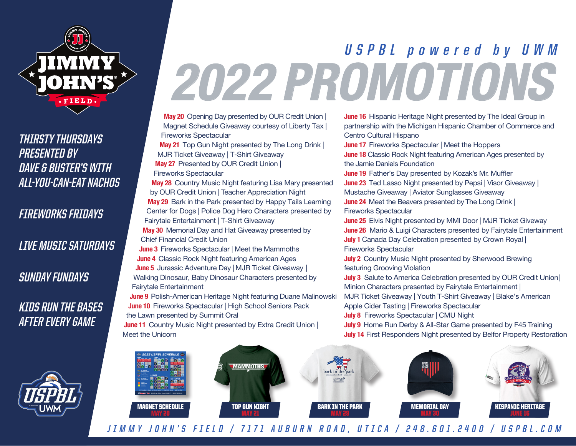

### **THIRSTY THURSDAYS PRESENTED BY DAVE & BUSTER'S WITH ALL-YOU-CAN-EAT NACHOS**

**FIREWORKS FRIDAYS**

#### **LIVE MUSIC SATURDAYS**

**SUNDAY FUNDAYS**

## **KIDS RUN THE BASES AFTER EVERY GAME**



# **2022 PROMOTIONS USPBL powered by UWM**

**May 20** Opening Day presented by OUR Credit Union | Magnet Schedule Giveaway courtesy of Liberty Tax | Fireworks Spectacular

**May 21** Top Gun Night presented by The Long Drink | MJR Ticket Giveaway | T-Shirt Giveaway **May 27** Presented by OUR Credit Union |

Fireworks Spectacular

**May 28** Country Music Night featuring Lisa Mary presented by OUR Credit Union | Teacher Appreciation Night **May 29** Bark in the Park presented by Happy Tails Learning Center for Dogs | Police Dog Hero Characters presented by Fairytale Entertainment | T-Shirt Giveaway **May 30** Memorial Day and Hat Giveaway presented by

Chief Financial Credit Union

**June 3** Fireworks Spectacular | Meet the Mammoths **June 4** Classic Rock Night featuring American Ages **June 5** Jurassic Adventure Day | MJR Ticket Giveaway | Walking Dinosaur, Baby Dinosaur Characters presented by

Fairytale Entertainment

**June 9** Polish-American Heritage Night featuring Duane Malinowski **June 10** Fireworks Spectacular | High School Seniors Pack the Lawn presented by Summit Oral

**June 11** Country Music Night presented by Extra Credit Union | Meet the Unicorn

**June 16** Hispanic Heritage Night presented by The Ideal Group in partnership with the Michigan Hispanic Chamber of Commerce and Centro Cultural Hispano

**June 17** Fireworks Spectacular | Meet the Hoppers

**June 18** Classic Rock Night featuring American Ages presented by the Jamie Daniels Foundation

**June 19** Father's Day presented by Kozak's Mr. Muffler **June 23** Ted Lasso Night presented by Pepsi | Visor Giveaway | Mustache Giveaway | Aviator Sunglasses Giveaway **June 24** Meet the Beavers presented by The Long Drink | Fireworks Spectacular

**June 25** Elvis Night presented by MMI Door | MJR Ticket Giveway **June 26** Mario & Luigi Characters presented by Fairytale Entertainment **July 1** Canada Day Celebration presented by Crown Royal | Fireworks Spectacular

**July 2** Country Music Night presented by Sherwood Brewing featuring Grooving Violation

**July 3** Salute to America Celebration presented by OUR Credit Union| Minion Characters presented by Fairytale Entertainment |

MJR Ticket Giveaway | Youth T-Shirt Giveaway | Blake's American

Apple Cider Tasting | Fireworks Spectacular

**July 8** Fireworks Spectacular | CMU Night

**July 9** Home Run Derby & All-Star Game presented by F45 Training

**July 14** First Responders Night presented by Belfor Property Restoration



**JIMMY JOHN'S FIELD / 7171 AUBURN ROAD, UTICA / 248.601.2400 / USPBL.COM**